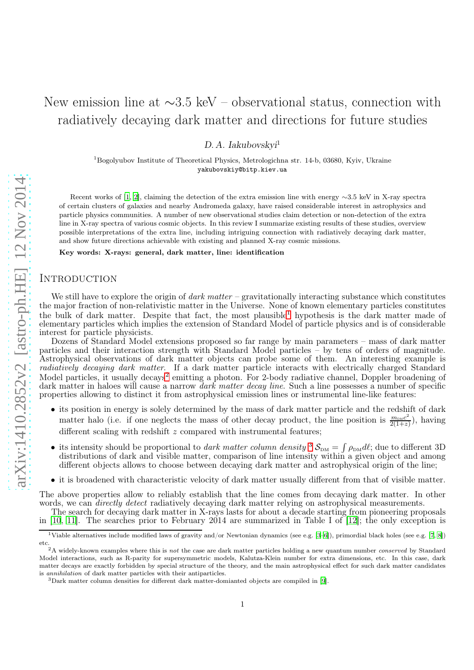# New emission line at ∼3.5 keV – observational status, connection with radiatively decaying dark matter and directions for future studies

 $D. A. Iakubovskvi<sup>1</sup>$ 

<sup>1</sup>Bogolyubov Institute of Theoretical Physics, Metrologichna str. 14-b, 03680, Kyiv, Ukraine yakubovskiy@bitp.kiev.ua

Recent works of [\[1](#page-4-0), [2\]](#page-4-1), claiming the detection of the extra emission line with energy ∼3.5 keV in X-ray spectra of certain clusters of galaxies and nearby Andromeda galaxy, have raised considerable interest in astrophysics and particle physics communities. A number of new observational studies claim detection or non-detection of the extra line in X-ray spectra of various cosmic objects. In this review I summarize existing results of these studies, overview possible interpretations of the extra line, including intriguing connection with radiatively decaying dark matter, and show future directions achievable with existing and planned X-ray cosmic missions.

Key words: X-rays: general, dark matter, line: identification

## **INTRODUCTION**

We still have to explore the origin of dark matter – gravitationally interacting substance which constitutes the major fraction of non-relativistic matter in the Universe. None of known elementary particles constitutes the bulk of dark matter. Despite that fact, the most plausible [1](#page-0-0) hypothesis is the dark matter made of elementary particles which implies the extension of Standard Model of particle physics and is of considerable interest for particle physicists.

Dozens of Standard Model extensions proposed so far range by main parameters – mass of dark matter particles and their interaction strength with Standard Model particles – by tens of orders of magnitude. Astrophysical observations of dark matter objects can probe some of them. An interesting example is radiatively decaying dark matter. If a dark matter particle interacts with electrically charged Standard Model particles, it usually decays<sup>[2](#page-0-1)</sup> emitting a photon. For 2-body radiative channel, Doppler broadening of dark matter in haloes will cause a narrow  $\overline{dark}$  matter decay line. Such a line possesses a number of specific properties allowing to distinct it from astrophysical emission lines or instrumental line-like features:

- its position in energy is solely determined by the mass of dark matter particle and the redshift of dark matter halo (i.e. if one neglects the mass of other decay product, the line position is  $\frac{m_{\text{puc}}c^2}{2(1+x)}$  $\frac{m_{\text{DM}}c^2}{2(1+z)}$ ), having different scaling with redshift  $z$  compared with instrumental features;
- its intensity should be proportional to *dark matter column density*  $\delta S_{DM} = \int \rho_{DM} d\ell$ ; due to different [3](#page-0-2)D distributions of dark and visible matter, comparison of line intensity within a given object and among different objects allows to choose between decaying dark matter and astrophysical origin of the line;
- it is broadened with characteristic velocity of dark matter usually different from that of visible matter.

The above properties allow to reliably establish that the line comes from decaying dark matter. In other words, we can *directly detect* radiatively decaying dark matter relying on astrophysical measurements.

The search for decaying dark matter in X-rays lasts for about a decade starting from pioneering proposals in [\[10,](#page-5-0) [11\]](#page-5-1). The searches prior to February 2014 are summarized in Table I of [\[12](#page-5-2)]; the only exception is

<sup>1</sup>Viable alternatives include modified laws of gravity and/or Newtonian dynamics (see e.g. [\[3](#page-4-2)[–6](#page-4-3)]), primordial black holes (see e.g. [\[7,](#page-4-4) [8\]](#page-4-5)) etc.

<span id="page-0-1"></span><span id="page-0-0"></span><sup>&</sup>lt;sup>2</sup>A widely-known examples where this is not the case are dark matter particles holding a new quantum number *conserved* by Standard Model interactions, such as R-parity for supersymmetric models, Kalutza-Klein number for extra dimensions, etc. In this case, dark matter decays are exactly forbidden by special structure of the theory, and the main astrophysical effect for such dark matter candidates is annihilation of dark matter particles with their antiparticles.

<span id="page-0-2"></span><sup>3</sup>Dark matter column densities for different dark matter-domianted objects are compiled in [\[9](#page-5-3)].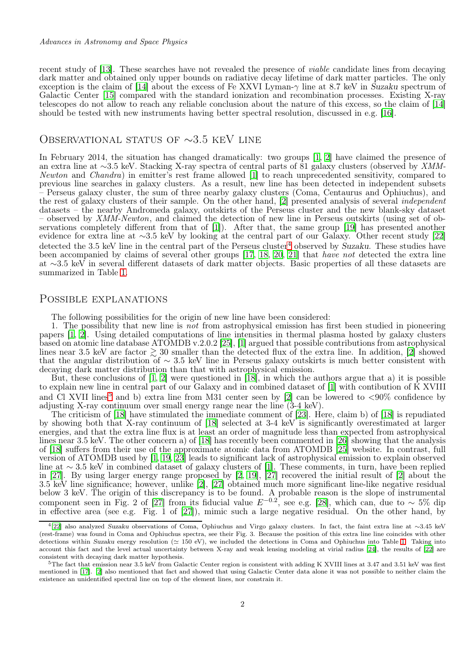recent study of [\[13](#page-5-4)]. These searches have not revealed the presence of viable candidate lines from decaying dark matter and obtained only upper bounds on radiative decay lifetime of dark matter particles. The only exception is the claim of [\[14](#page-5-5)] about the excess of Fe XXVI Lyman- $\gamma$  line at 8.7 keV in Suzaku spectrum of Galactic Center [\[15\]](#page-5-6) compared with the standard ionization and recombination processes. Existing X-ray telescopes do not allow to reach any reliable conclusion about the nature of this excess, so the claim of [\[14](#page-5-5)] should be tested with new instruments having better spectral resolution, discussed in e.g. [\[16\]](#page-5-7).

# Observational status of ∼3.5 keV line

In February 2014, the situation has changed dramatically: two groups [\[1](#page-4-0), [2\]](#page-4-1) have claimed the presence of an extra line at ∼3.5 keV. Stacking X-ray spectra of central parts of 81 galaxy clusters (observed by XMM-Newton and Chandra) in emitter's rest frame allowed [\[1](#page-4-0)] to reach unprecedented sensitivity, compared to previous line searches in galaxy clusters. As a result, new line has been detected in independent subsets – Perseus galaxy cluster, the sum of three nearby galaxy clusters (Coma, Centaurus and Ophiuchus), and the rest of galaxy clusters of their sample. On the other hand, [\[2\]](#page-4-1) presented analysis of several independent datasets – the nearby Andromeda galaxy, outskirts of the Perseus cluster and the new blank-sky dataset – observed by XMM-Newton, and claimed the detection of new line in Perseus outskirts (using set of observations completely different from that of [\[1](#page-4-0)]). After that, the same group [\[19](#page-5-8)] has presented another evidence for extra line at ~3.5 keV by looking at the central part of our Galaxy. Other recent study [\[22](#page-5-9)] detected the 3.5 keV line in the central part of the Perseus cluster<sup>[4](#page-1-0)</sup> observed by Suzaku. These studies have been accompanied by claims of several other groups [\[17](#page-5-10), [18](#page-5-11), [20,](#page-5-12) [21\]](#page-5-13) that have not detected the extra line at ∼3.5 keV in several different datasets of dark matter objects. Basic properties of all these datasets are summarized in Table [1.](#page-2-0)

## Possible explanations

The following possibilities for the origin of new line have been considered:

1. The possibility that new line is not from astrophysical emission has first been studied in pioneering papers [\[1](#page-4-0), [2\]](#page-4-1). Using detailed computations of line intensities in thermal plasma hosted by galaxy clusters based on atomic line database ATOMDB v.2.0.2 [\[25](#page-5-14)], [\[1\]](#page-4-0) argued that possible contributions from astrophysical lines near 3.5 keV are factor  $\gtrsim 30$  smaller than the detected flux of the extra line. In addition, [\[2\]](#page-4-1) showed that the angular distribution of  $\sim 3.5$  keV line in Perseus galaxy outskirts is much better consistent with decaying dark matter distribution than that with astrophysical emission.

But, these conclusions of  $[1, 2]$  $[1, 2]$  $[1, 2]$  were questioned in  $[18]$ , in which the authors argue that a) it is possible to explain new line in central part of our Galaxy and in combined dataset of [\[1\]](#page-4-0) with contibution of K XVIII and Cl XVII lines<sup>[5](#page-1-1)</sup> and b) extra line from M31 center seen by [\[2\]](#page-4-1) can be lowered to  $\langle 90\%$  confidence by adjusting X-ray continuum over small energy range near the line (3-4 keV).

The criticism of [\[18](#page-5-11)] have stimulated the immediate comment of [\[23](#page-5-15)]. Here, claim b) of [\[18\]](#page-5-11) is repudiated by showing both that X-ray continuum of [\[18](#page-5-11)] selected at 3-4 keV is significantly overestimated at larger energies, and that the extra line flux is at least an order of magnitude less than expected from astrophysical lines near 3.5 keV. The other concern a) of [\[18\]](#page-5-11) has recently been commented in [\[26](#page-5-16)] showing that the analysis of [\[18\]](#page-5-11) suffers from their use of the approximate atomic data from ATOMDB [\[25](#page-5-14)] website. In contrast, full version of ATOMDB used by [\[1](#page-4-0), [19,](#page-5-8) [23\]](#page-5-15) leads to significant lack of astrophysical emission to explain observed line at ∼ 3.5 keV in combined dataset of galaxy clusters of [\[1](#page-4-0)]. These comments, in turn, have been replied in [\[27](#page-5-17)]. By using larger energy range proposed by [\[2,](#page-4-1) [19\]](#page-5-8), [\[27\]](#page-5-17) recovered the initial result of [\[2](#page-4-1)] about the 3.5 keV line significance; however, unlike [\[2](#page-4-1)], [\[27\]](#page-5-17) obtained much more significant line-like negative residual below 3 keV. The origin of this discrepancy is to be found. A probable reason is the slope of instrumental component seen in Fig. 2 of [\[27](#page-5-17)] from its fiducial value  $E^{-0.2}$ , see e.g. [\[28\]](#page-5-18), which can, due to ~ 5% dip in effective area (see e.g. Fig. 1 of [\[27\]](#page-5-17)), mimic such a large negative residual. On the other hand, by

<span id="page-1-0"></span><sup>4</sup> [\[22](#page-5-9)] also analyzed Suzaku observations of Coma, Ophiuchus and Virgo galaxy clusters. In fact, the faint extra line at ∼3.45 keV (rest-frame) was found in Coma and Ophiuchus spectra, see their Fig. 3. Because the position of this extra line line coincides with other detections within Suzaku energy resolution (≃ 150 eV), we included the detections in Coma and Ophiuchus into Table [1.](#page-2-0) Taking into account this fact and the level actual uncertainty between X-ray and weak lensing modeling at virial radius [\[24\]](#page-5-19), the results of [\[22\]](#page-5-9) are consistent with decaying dark matter hypothesis.

<span id="page-1-1"></span> $5$ The fact that emission near 3.5 keV from Galactic Center region is consistent with adding K XVIII lines at 3.47 and 3.51 keV was first mentioned in [\[17](#page-5-10)]. [\[2](#page-4-1)] also mentioned that fact and showed that using Galactic Center data alone it was not possible to neither claim the existence an unidentified spectral line on top of the element lines, nor constrain it.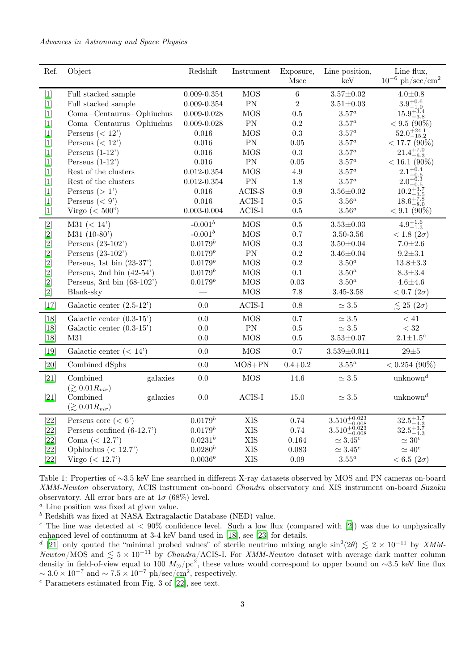#### Advances in Astronomy and Space Physics

| Ref.   | Object                                           | Redshift        | Instrument              | Exposure,<br>Msec | Line position,<br>keV                                                  | Line flux,<br>$10^{-6}$ ph/sec/cm <sup>2</sup>         |
|--------|--------------------------------------------------|-----------------|-------------------------|-------------------|------------------------------------------------------------------------|--------------------------------------------------------|
| $[1]$  | Full stacked sample                              | $0.009 - 0.354$ | <b>MOS</b>              | $\,6\,$           | $3.57 \pm 0.02$                                                        | $4.0 + 0.8$                                            |
| $[1]$  | Full stacked sample                              | $0.009 - 0.354$ | PN                      | $\overline{2}$    | $3.51 \pm 0.03$                                                        | $3.9^{+0.6}_{-1.0}$                                    |
| $[1]$  | $Coma + Centaurus + Ophi$                        | $0.009 - 0.028$ | <b>MOS</b>              | 0.5               | $3.57^a$                                                               | $15.9_{-3.8}^{+3.4}$                                   |
| $[1]$  | $Coma + Centaurus + Ophiuchus$                   | $0.009 - 0.028$ | PN                      | 0.2               | $3.57^a$                                                               | $< 9.5 (90\%)$                                         |
| $[1]$  | Perseus $(< 12$ <sup>'</sup> )                   | 0.016           | <b>MOS</b>              | 0.3               | $3.57^a$                                                               | $52.0^{+24.1}_{-15.2}$                                 |
| $[1]$  | Perseus $(< 12$ <sup>'</sup> )                   | $0.016\,$       | PN                      | 0.05              | $3.57^a$                                                               | $< 17.7$ (90%)                                         |
| $[1]$  | Perseus $(1-12)$                                 | 0.016           | <b>MOS</b>              | 0.3               | $3.57^a$                                                               | $21.4^{+7.0}_{-6.3}$                                   |
| $[1]$  | Perseus $(1-12)$                                 | 0.016           | PN                      | 0.05              | $3.57^a$                                                               | $< 16.1 (90\%)$                                        |
| $[1]$  | Rest of the clusters                             | $0.012 - 0.354$ | <b>MOS</b>              | 4.9               | $3.57^a$                                                               | $2.1^{+0.4}_{-0.7}$                                    |
| $[1]$  | Rest of the clusters                             | $0.012 - 0.354$ | PN                      | 1.8               | $3.57^a$                                                               | $2.0^{+0.5}_{-0.3}$<br>$-0.5$                          |
| $[1]$  | Perseus $(>1)$                                   | 0.016           | $ACIS-S$                | 0.9               | $3.56 \pm 0.02$                                                        | $10.2^{+3.7}_{-2.5}$                                   |
| $[1]$  | Perseus $(< 9')$                                 | 0.016           | $ACIS-I$                | 0.5               | $3.56^a$                                                               | $\frac{10.2-3.5}{18.6+7.8}$                            |
| $[1]$  | Virgo $(<500$ ")                                 | $0.003 - 0.004$ | $\operatorname{ACIS-I}$ | 0.5               | $3.56^a$                                                               | $< 9.1 (90\%)$                                         |
| $[2]$  | M31 (< 14' )                                     | $-0.001^b$      | <b>MOS</b>              | $0.5\,$           | $3.53 \pm 0.03$                                                        | $4.9^{+1.6}_{-1.3}$                                    |
| $[2]$  | $M31 (10-80)$                                    | $-0.001^b$      | <b>MOS</b>              | 0.7               | 3.50-3.56                                                              | $< 1.8 (2\sigma)$                                      |
| $[2]$  | Perseus $(23-102)$                               | $0.0179^{b}$    | <b>MOS</b>              | 0.3               | $3.50 \pm 0.04$                                                        | $7.0 + 2.6$                                            |
| $[2]$  | Perseus $(23-102)$                               | $0.0179^b$      | PN                      | 0.2               | $3.46 \pm 0.04$                                                        | $9.2 + 3.1$                                            |
| $[2]$  | Perseus, 1st bin $(23-37)$                       | $0.0179^{b}$    | <b>MOS</b>              | 0.2               | $3.50^a$                                                               | $13.8 \pm 3.3$                                         |
| $[2]$  | Perseus, 2nd bin $(42-54)$                       | $0.0179^{b}$    | <b>MOS</b>              | $0.1\,$           | $3.50^a$                                                               | $8.3 \pm 3.4$                                          |
| [2]    | Perseus, 3rd bin $(68-102)$                      | $0.0179^b$      | <b>MOS</b>              | 0.03              | $3.50^a$                                                               | $4.6 + 4.6$                                            |
| $[2]$  | Blank-sky                                        |                 | <b>MOS</b>              | 7.8               | $3.45 - 3.58$                                                          | $< 0.7 (2\sigma)$                                      |
| $[17]$ | Galactic center $(2.5-12)$                       | 0.0             | $ACIS-I$                | 0.8               | $\simeq 3.5$                                                           | $\lesssim 25$ (2 $\sigma$ )                            |
| $[18]$ | Galactic center $(0.3-15)$                       | $0.0\,$         | <b>MOS</b>              | $0.7\,$           | $\simeq 3.5$                                                           | $<41\,$                                                |
| $[18]$ | Galactic center $(0.3-15)$                       | $0.0\,$         | PN                      | $0.5\,$           | $\simeq 3.5$                                                           | $< 32\,$                                               |
| [18]   | M31                                              | 0.0             | <b>MOS</b>              | $0.5\,$           | $3.53 \pm 0.07$                                                        | $2.1 \pm 1.5^c$                                        |
| $[19]$ | Galactic center $(< 14')$                        | $0.0\,$         | <b>MOS</b>              | $0.7\,$           | $3.539 \pm 0.011$                                                      | $29\pm5$                                               |
| $[20]$ | Combined dSphs                                   | $0.0\,$         | $MOS+PN$                | $0.4 + 0.2$       | $3.55^a$                                                               | $< 0.254$ (90%)                                        |
| $[21]$ | Combined<br>galaxies                             | $0.0\,$         | <b>MOS</b>              | 14.6              | $\simeq 3.5$                                                           | $\text{unknown}^d$                                     |
| $[21]$ | $(\gtrsim 0.01 R_{vir})$<br>Combined<br>galaxies | $0.0\,$         | $ACIS-I$                | 15.0              | $\simeq 3.5$                                                           | unknown <sup>d</sup>                                   |
|        | $(\gtrsim 0.01 R_{vir})$                         |                 |                         |                   |                                                                        |                                                        |
| $[22]$ | Perseus core $(< 6')$                            | $0.0179^{b}$    | <b>XIS</b>              | 0.74              | $\underset{-0.008}{3.510^{+0.023}_{-0.008}}\, 3.510^{+0.023}_{-0.008}$ | $\substack{32.5_{-4.3}^{+3.7} \\ 32.5_{-4.3}^{+3.7} }$ |
| $[22]$ | Perseus confined $(6-12.7)$                      | $0.0179^{b}$    | <b>XIS</b>              | 0.74              |                                                                        |                                                        |
| $[22]$ | Coma $(< 12.7$ )                                 | $0.0231^{b}$    | <b>XIS</b>              | 0.164             | $\simeq 3.45^e$                                                        | $\simeq 30^e$                                          |
| $[22]$ | Ophiuchus $(< 12.7$                              | $0.0280^{b}$    | <b>XIS</b>              | 0.083             | $\simeq 3.45^e$                                                        | $\simeq 40^e$                                          |
| $[22]$ | Virgo $(< 12.7$ <sup>'</sup> )                   | $0.0036^{b}$    | <b>XIS</b>              | 0.09              | $3.55^a$                                                               | $< 6.5 (2\sigma)$                                      |

<span id="page-2-0"></span>Table 1: Properties of ∼3.5 keV line searched in different X-ray datasets observed by MOS and PN cameras on-board XMM-Newton observatory, ACIS instrument on-board Chandra observatory and XIS instrument on-board Suzaku observatory. All error bars are at  $1\sigma$  (68%) level.

<sup>a</sup> Line position was fixed at given value.

 $<sup>b</sup>$  Redshift was fixed at NASA Extragalactic Database (NED) value.</sup>

<sup>c</sup> The line was detected at  $\langle 90\%$  confidence level. Such a low flux (compared with [\[2\]](#page-4-1)) was due to unphysically enhanced level of continuum at 3-4 keV band used in [\[18\]](#page-5-11), see [\[23](#page-5-15)] for details.

<sup>d</sup> [\[21\]](#page-5-13) only qouted the "minimal probed values" of sterile neutrino mixing angle sin<sup>2</sup>(2 $\theta$ )  $\lesssim 2 \times 10^{-11}$  by XMM-Newton/MOS and  $\lesssim 5 \times 10^{-11}$  by Chandra/ACIS-I. For XMM-Newton dataset with average dark matter column density in field-of-view equal to 100  $M_{\odot}/\text{pc}^2$ , these values would correspond to upper bound on ∼3.5 keV line flux  $\sim 3.0 \times 10^{-7}$  and  $\sim 7.5 \times 10^{-7}$  ph/sec/cm<sup>2</sup>, respectively.

 $e$  Parameters estimated from Fig. 3 of [\[22](#page-5-9)], see text.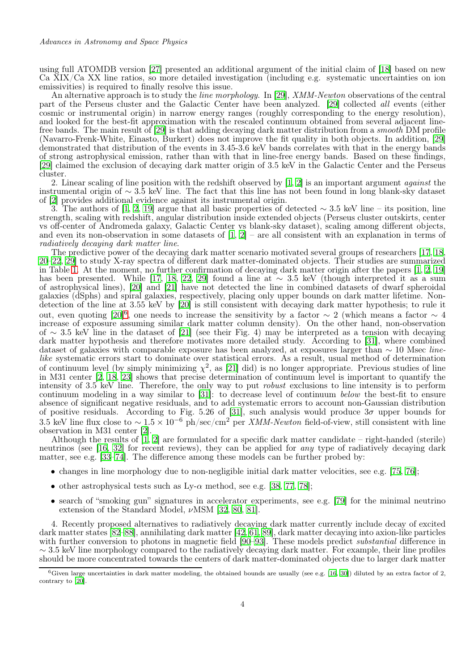using full ATOMDB version [\[27\]](#page-5-17) presented an additional argument of the initial claim of [\[18\]](#page-5-11) based on new Ca XIX/Ca XX line ratios, so more detailed investigation (including e.g. systematic uncertainties on ion emissivities) is required to finally resolve this issue.

An alternative approach is to study the *line morphology*. In [\[29\]](#page-5-20), *XMM-Newton* observations of the central part of the Perseus cluster and the Galactic Center have been analyzed. [\[29\]](#page-5-20) collected all events (either cosmic or instrumental origin) in narrow energy ranges (roughly corresponding to the energy resolution), and looked for the best-fit approximation with the rescaled continuum obtained from several adjacent line-free bands. The main result of [\[29\]](#page-5-20) is that adding decaying dark matter distribution from a *smooth* DM profile (Navarro-Frenk-White, Einasto, Burkert) does not improve the fit quality in both objects. In addition, [\[29](#page-5-20)] demonstrated that distribution of the events in 3.45-3.6 keV bands correlates with that in the energy bands of strong astrophysical emission, rather than with that in line-free energy bands. Based on these findings, [\[29](#page-5-20)] claimed the exclusion of decaying dark matter origin of 3.5 keV in the Galactic Center and the Perseus cluster.

2. Linear scaling of line position with the redshift observed by [\[1](#page-4-0), [2\]](#page-4-1) is an important argument against the instrumental origin of ∼ 3.5 keV line. The fact that this line has not been found in long blank-sky dataset of [\[2](#page-4-1)] provides additional evidence against its instrumental origin.

3. The authors of [\[1](#page-4-0), [2,](#page-4-1) [19](#page-5-8)] argue that all basic properties of detected  $\sim$  3.5 keV line – its position, line strength, scaling with redshift, angular distribution inside extended objects (Perseus cluster outskirts, center vs off-center of Andromeda galaxy, Galactic Center vs blank-sky dataset), scaling among different objects, and even its non-observation in some datasets of  $[1, 2]$  $[1, 2]$  – are all consistent with an explanation in terms of radiatively decaying dark matter line.

The predictive power of the decaying dark matter scenario motivated several groups of researchers [\[17,](#page-5-10) [18](#page-5-11), [20](#page-5-12)[–22](#page-5-9), [29\]](#page-5-20) to study X-ray spectra of different dark matter-dominated objects. Their studies are summarized in Table [1.](#page-2-0) At the moment, no further confirmation of decaying dark matter origin after the papers [\[1,](#page-4-0) [2,](#page-4-1) [19](#page-5-8)] has been presented. While [\[17,](#page-5-10) [18,](#page-5-11) [22,](#page-5-9) [29\]](#page-5-20) found a line at  $\sim 3.5$  keV (though interpreted it as a sum of astrophysical lines), [\[20](#page-5-12)] and [\[21\]](#page-5-13) have not detected the line in combined datasets of dwarf spheroidal galaxies (dSphs) and spiral galaxies, respectively, placing only upper bounds on dark matter lifetime. Nondetection of the line at 3.55 keV by [\[20](#page-5-12)] is still consistent with decaying dark matter hypothesis; to rule it out, even quoting [\[20\]](#page-5-12)<sup>[6](#page-3-0)</sup>, one needs to increase the sensitivity by a factor  $\sim 2$  (which means a factor  $\sim 4$ increase of exposure assuming similar dark matter column density). On the other hand, non-observation of ∼ 3.5 keV line in the dataset of [\[21\]](#page-5-13) (see their Fig. 4) may be interpreted as a tension with decaying dark matter hypothesis and therefore motivates more detailed study. According to [\[31](#page-5-21)], where combined dataset of galaxies with comparable exposure has been analyzed, at exposures larger than  $\sim 10$  Msec *line*like systematic errors start to dominate over statistical errors. As a result, usual method of determination of continuum level (by simply minimizing  $\chi^2$ , as [\[21\]](#page-5-13) did) is no longer appropriate. Previous studies of line in M31 center [\[2](#page-4-1), [18](#page-5-11), [23](#page-5-15)] shows that precise determination of continuum level is important to quantify the intensity of 3.5 keV line. Therefore, the only way to put robust exclusions to line intensity is to perform continuum modeling in a way similar to [\[31\]](#page-5-21): to decrease level of continuum below the best-fit to ensure absence of significant negative residuals, and to add systematic errors to account non-Gaussian distribution of positive residuals. According to Fig. 5.26 of [\[31\]](#page-5-21), such analysis would produce  $3\sigma$  upper bounds for 3.5 keV line flux close to  $\sim 1.5 \times 10^{-6}$  ph/sec/cm<sup>2</sup> per *XMM-Newton* field-of-view, still consistent with line observation in M31 center [\[2\]](#page-4-1).

Although the results of  $\left[1, 2\right]$  are formulated for a specific dark matter candidate – right-handed (sterile) neutrinos (see [\[16,](#page-5-7) [32\]](#page-5-22) for recent reviews), they can be applied for any type of radiatively decaying dark matter, see e.g. [\[33](#page-5-23)[–74](#page-7-0)]. The difference among these models can be further probed by:

- changes in line morphology due to non-negligible initial dark matter velocities, see e.g. [\[75,](#page-7-1) [76](#page-7-2)];
- other astrophysical tests such as Ly- $\alpha$  method, see e.g. [\[38](#page-5-24), [77,](#page-7-3) [78](#page-7-4)];
- search of "smoking gun" signatures in accelerator experiments, see e.g. [\[79\]](#page-7-5) for the minimal neutrino extension of the Standard Model,  $\nu$ MSM [\[32,](#page-5-22) [80](#page-7-6), [81\]](#page-7-7).

4. Recently proposed alternatives to radiatively decaying dark matter currently include decay of excited dark matter states [\[82](#page-7-8)[–88](#page-7-9)], annihilating dark matter [\[42,](#page-6-0) [61,](#page-6-1) [89](#page-7-10)], dark matter decaying into axion-like particles with further conversion to photons in magnetic field [\[90](#page-7-11)[–93\]](#page-7-12). These models predict *substantial* difference in ∼ 3.5 keV line morphology compared to the radiatively decaying dark matter. For example, their line profiles should be more concentrated towards the centers of dark matter-dominated objects due to larger dark matter

<span id="page-3-0"></span> $6$ Given large uncertainties in dark matter modeling, the obtained bounds are usually (see e.g. [\[16](#page-5-7), [30\]](#page-5-25)) diluted by an extra factor of 2, contrary to [\[20](#page-5-12)].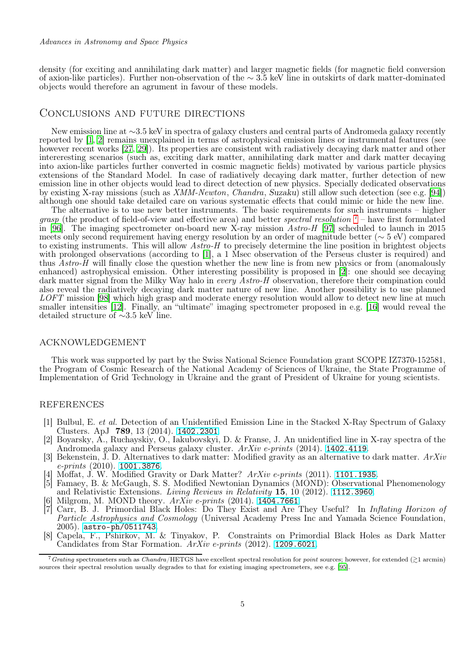density (for exciting and annihilating dark matter) and larger magnetic fields (for magnetic field conversion of axion-like particles). Further non-observation of the ∼ 3.5 keV line in outskirts of dark matter-dominated objects would therefore an agrument in favour of these models.

### Conclusions and future directions

New emission line at ∼3.5 keV in spectra of galaxy clusters and central parts of Andromeda galaxy recently reported by [\[1](#page-4-0), [2](#page-4-1)] remains unexplained in terms of astrophysical emission lines or instrumental features (see however recent works [\[27](#page-5-17), [29\]](#page-5-20)). Its properties are consistent with radiatively decaying dark matter and other intereresting scenarios (such as, exciting dark matter, annihilating dark matter and dark matter decaying into axion-like particles further converted in cosmic magnetic fields) motivated by various particle physics extensions of the Standard Model. In case of radiatively decaying dark matter, further detection of new emission line in other objects would lead to direct detection of new physics. Specially dedicated observations by existing X-ray missions (such as XMM-Newton, Chandra, Suzaku) still allow such detection (see e.g. [\[94](#page-7-13)]) although one should take detailed care on various systematic effects that could mimic or hide the new line.

The alternative is to use new better instruments. The basic requirements for such instruments – higher grasp (the product of field-of-view and effective area) and better *spectral resolution*  $7$  – have first formulated in [\[96\]](#page-7-14). The imaging spectrometer on-board new X-ray mission  $\hat{A}stro-H$  [\[97\]](#page-7-15) scheduled to launch in 2015 meets only second requirement having energy resolution by an order of magnitude better (∼ 5 eV) compared to existing instruments. This will allow Astro-H to precisely determine the line position in brightest objects with prolonged observations (according to [\[1](#page-4-0)], a 1 Msec observation of the Perseus cluster is required) and thus Astro-H will finally close the question whether the new line is from new physics or from (anomalously enhanced) astrophysical emission. Other interesting possibility is proposed in  $[2]$ : one should see decaying dark matter signal from the Milky Way halo in every Astro-H observation, therefore their compination could also reveal the radiatively decaying dark matter nature of new line. Another possibility is to use planned LOFT mission [\[98\]](#page-7-16) which high grasp and moderate energy resolution would allow to detect new line at much smaller intensities [\[12\]](#page-5-2). Finally, an "ultimate" imaging spectrometer proposed in e.g. [\[16](#page-5-7)] would reveal the detailed structure of ∼3.5 keV line.

#### acknowledgement

This work was supported by part by the Swiss National Science Foundation grant SCOPE IZ7370-152581, the Program of Cosmic Research of the National Academy of Sciences of Ukraine, the State Programme of Implementation of Grid Technology in Ukraine and the grant of President of Ukraine for young scientists.

## **REFERENCES**

- <span id="page-4-0"></span>[1] Bulbul, E. et al. Detection of an Unidentified Emission Line in the Stacked X-Ray Spectrum of Galaxy Clusters. ApJ 789, 13 (2014). <1402.2301>.
- <span id="page-4-1"></span>[2] Boyarsky, A., Ruchayskiy, O., Iakubovskyi, D. & Franse, J. An unidentified line in X-ray spectra of the Andromeda galaxy and Perseus galaxy cluster. ArXiv e-prints (2014). <1402.4119>.
- <span id="page-4-2"></span>[3] Bekenstein, J. D. Alternatives to dark matter: Modified gravity as an alternative to dark matter. ArXiv e-prints (2010). <1001.3876>.
- [4] Moffat, J. W. Modified Gravity or Dark Matter?  $ArXiv$  e-prints (2011). <1101.1935>.
- [5] Famaey, B. & McGaugh, S. S. Modified Newtonian Dynamics (MOND): Observational Phenomenology and Relativistic Extensions. Living Reviews in Relativity 15, 10 (2012). <1112.3960>.
- <span id="page-4-3"></span>Milgrom, M. MOND theory.  $ArXiv$  e-prints (2014). <1404.7661>.
- <span id="page-4-4"></span>[7] Carr, B. J. Primordial Black Holes: Do They Exist and Are They Useful? In Inflating Horizon of Particle Astrophysics and Cosmology (Universal Academy Press Inc and Yamada Science Foundation, 2005). <astro-ph/0511743>.
- <span id="page-4-5"></span>[8] Capela, F., Pshirkov, M. & Tinyakov, P. Constraints on Primordial Black Holes as Dark Matter Candidates from Star Formation. ArXiv e-prints (2012). <1209.6021>.

<span id="page-4-6"></span><sup>&</sup>lt;sup>7</sup> Grating spectrometers such as Chandra/HETGS have excellent spectral resolution for *point* sources; however, for extended  $(z)$  arcmin) sources their spectral resolution usually degrades to that for existing imaging spectrometers, see e.g. [\[95\]](#page-7-17).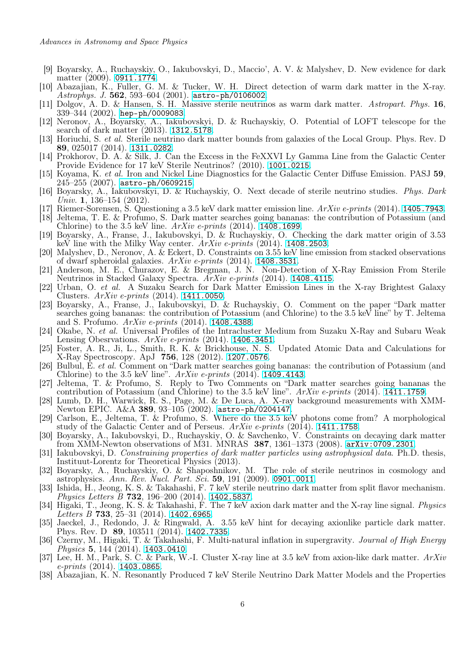- <span id="page-5-3"></span>[9] Boyarsky, A., Ruchayskiy, O., Iakubovskyi, D., Maccio', A. V. & Malyshev, D. New evidence for dark matter (2009). <0911.1774>.
- <span id="page-5-0"></span>[10] Abazajian, K., Fuller, G. M. & Tucker, W. H. Direct detection of warm dark matter in the X-ray. Astrophys. J. 562, 593-604 (2001). <astro-ph/0106002>.
- <span id="page-5-1"></span>[11] Dolgov, A. D. & Hansen, S. H. Massive sterile neutrinos as warm dark matter. Astropart. Phys. 16, 339–344 (2002). <hep-ph/0009083>.
- <span id="page-5-2"></span>[12] Neronov, A., Boyarsky, A., Iakubovskyi, D. & Ruchayskiy, O. Potential of LOFT telescope for the search of dark matter (2013). <1312.5178>.
- <span id="page-5-4"></span>[13] Horiuchi, S. et al. Sterile neutrino dark matter bounds from galaxies of the Local Group. Phys. Rev. D 89, 025017 (2014). <1311.0282>.
- <span id="page-5-5"></span>[14] Prokhorov, D. A. & Silk, J. Can the Excess in the FeXXVI Ly Gamma Line from the Galactic Center Provide Evidence for 17 keV Sterile Neutrinos? (2010). <1001.0215>.
- <span id="page-5-6"></span>[15] Koyama, K. et al. Iron and Nickel Line Diagnostics for the Galactic Center Diffuse Emission. PASJ 59,  $245-255$   $(2007)$ . <astro-ph/0609215>.
- <span id="page-5-7"></span>[16] Boyarsky, A., Iakubovskyi, D. & Ruchayskiy, O. Next decade of sterile neutrino studies. Phys. Dark Univ. 1, 136–154 (2012).
- <span id="page-5-10"></span>[17] Riemer-Sorensen, S. Questioning a 3.5 keV dark matter emission line.  $ArXiv$  e-prints (2014). <1405.7943>.
- <span id="page-5-11"></span>[18] Jeltema, T. E. & Profumo, S. Dark matter searches going bananas: the contribution of Potassium (and Chlorine) to the 3.5 keV line.  $ArXiv$  e-prints (2014). <1408.1699>.
- <span id="page-5-8"></span>[19] Boyarsky, A., Franse, J., Iakubovskyi, D. & Ruchayskiy, O. Checking the dark matter origin of 3.53 keV line with the Milky Way center.  $ArXiv$  e-prints (2014). <1408.2503>.
- <span id="page-5-12"></span>[20] Malyshev, D., Neronov, A. & Eckert, D. Constraints on 3.55 keV line emission from stacked observations of dwarf spheroidal galaxies.  $ArXiv$  e-prints (2014). <1408.3531>.
- <span id="page-5-13"></span>[21] Anderson, M. E., Churazov, E. & Bregman, J. N. Non-Detection of X-Ray Emission From Sterile Neutrinos in Stacked Galaxy Spectra. ArXiv e-prints (2014). <1408.4115>.
- <span id="page-5-9"></span>[22] Urban, O. et al. A Suzaku Search for Dark Matter Emission Lines in the X-ray Brightest Galaxy Clusters.  $ArXiv$  e-prints (2014). <1411.0050>.
- <span id="page-5-15"></span>[23] Boyarsky, A., Franse, J., Iakubovskyi, D. & Ruchayskiy, O. Comment on the paper "Dark matter searches going bananas: the contribution of Potassium (and Chlorine) to the 3.5 keV line" by T. Jeltema and S. Profumo. ArXiv e-prints (2014). <1408.4388>.
- <span id="page-5-19"></span>[24] Okabe, N. et al. Universal Profiles of the Intracluster Medium from Suzaku X-Ray and Subaru Weak Lensing Obesrvations.  $ArXiv$  e-prints (2014). <1406.3451>.
- <span id="page-5-14"></span>[25] Foster, A. R., Ji, L., Smith, R. K. & Brickhouse, N. S. Updated Atomic Data and Calculations for X-Ray Spectroscopy. ApJ 756, 128 (2012). <1207.0576>.
- <span id="page-5-16"></span>[26] Bulbul, E. et al. Comment on "Dark matter searches going bananas: the contribution of Potassium (and Chlorine) to the 3.5 keV line".  $ArXiv$  e-prints (2014). <1409.4143>.
- <span id="page-5-17"></span>[27] Jeltema, T. & Profumo, S. Reply to Two Comments on "Dark matter searches going bananas the contribution of Potassium (and Chlorine) to the 3.5 keV line".  $ArXiv$  e-prints (2014). <1411.1759>.
- <span id="page-5-18"></span>[28] Lumb, D. H., Warwick, R. S., Page, M. & De Luca, A. X-ray background measurements with XMM-Newton EPIC. A&A 389, 93–105 (2002). <astro-ph/0204147>.
- <span id="page-5-20"></span>[29] Carlson, E., Jeltema, T. & Profumo, S. Where do the 3.5 keV photons come from? A morphological study of the Galactic Center and of Perseus. ArXiv e-prints (2014). <1411.1758>.
- <span id="page-5-25"></span>[30] Boyarsky, A., Iakubovskyi, D., Ruchayskiy, O. & Savchenko, V. Constraints on decaying dark matter from XMM-Newton observations of M31. MNRAS 387, 1361–1373 (2008). <arXiv:0709.2301>.
- <span id="page-5-21"></span>[31] Iakubovskyi, D. Constraining properties of dark matter particles using astrophysical data. Ph.D. thesis, Instituut-Lorentz for Theoretical Physics (2013).
- <span id="page-5-22"></span>[32] Boyarsky, A., Ruchayskiy, O. & Shaposhnikov, M. The role of sterile neutrinos in cosmology and astrophysics. Ann. Rev. Nucl. Part. Sci. 59, 191 (2009). <0901.0011>.
- <span id="page-5-23"></span>[33] Ishida, H., Jeong, K. S. & Takahashi, F. 7 keV sterile neutrino dark matter from split flavor mechanism. Physics Letters B 732, 196–200 (2014). <1402.5837>.
- [34] Higaki, T., Jeong, K. S. & Takahashi, F. The 7 keV axion dark matter and the X-ray line signal. Physics Letters B 733, 25-31 (2014). <1402.6965>.
- [35] Jaeckel, J., Redondo, J. & Ringwald, A. 3.55 keV hint for decaying axionlike particle dark matter. Phys. Rev. D 89, 103511 (2014). <1402.7335>.
- [36] Czerny, M., Higaki, T. & Takahashi, F. Multi-natural inflation in supergravity. Journal of High Energy Physics 5, 144 (2014). <1403.0410>.
- [37] Lee, H. M., Park, S. C. & Park, W.-I. Cluster X-ray line at 3.5 keV from axion-like dark matter. ArXiv  $e\text{-}prints$  (2014). <1403.0865>.
- <span id="page-5-24"></span>[38] Abazajian, K. N. Resonantly Produced 7 keV Sterile Neutrino Dark Matter Models and the Properties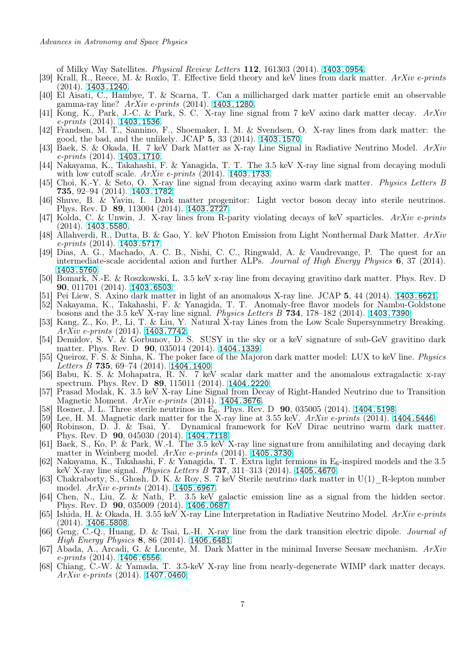of Milky Way Satellites. Physical Review Letters 112, 161303 (2014). <1403.0954>.

- [39] Krall, R., Reece, M. & Roxlo, T. Effective field theory and keV lines from dark matter. ArXiv e-prints (2014). <1403.1240>.
- [40] El Aisati, C., Hambye, T. & Scarna, T. Can a millicharged dark matter particle emit an observable gamma-ray line?  $ArXiv$  e-prints (2014). <1403.1280>.
- [41] Kong, K., Park, J.-C. & Park, S. C. X-ray line signal from 7 keV axino dark matter decay. ArXiv  $e\text{-}prints (2014)$ . <1403.1536>.
- <span id="page-6-0"></span>[42] Frandsen, M. T., Sannino, F., Shoemaker, I. M. & Svendsen, O. X-ray lines from dark matter: the good, the bad, and the unlikely. JCAP 5, 33 (2014). <1403.1570>.
- [43] Baek, S. & Okada, H. 7 keV Dark Matter as X-ray Line Signal in Radiative Neutrino Model. ArXiv e-prints (2014). <1403.1710>.
- [44] Nakayama, K., Takahashi, F. & Yanagida, T. T. The 3.5 keV X-ray line signal from decaying moduli with low cutoff scale.  $ArXiv$  e-prints (2014). <1403.1733>.
- [45] Choi, K.-Y. & Seto, O. X-ray line signal from decaying axino warm dark matter. Physics Letters B 735, 92–94 (2014). <1403.1782>.
- [46] Shuve, B. & Yavin, I. Dark matter progenitor: Light vector boson decay into sterile neutrinos. Phys. Rev. D 89, 113004 (2014). <1403.2727>.
- [47] Kolda, C. & Unwin, J. X-ray lines from R-parity violating decays of keV sparticles. ArXiv e-prints  $(2014)$ . <1403.5580>.
- [48] Allahverdi, R., Dutta, B. & Gao, Y. keV Photon Emission from Light Nonthermal Dark Matter. ArXiv  $e\text{-}prints (2014)$ . <1403.5717>.
- [49] Dias, A. G., Machado, A. C. B., Nishi, C. C., Ringwald, A. & Vaudrevange, P. The quest for an intermediate-scale accidental axion and further ALPs. Journal of High Energy Physics 6, 37 (2014). <1403.5760>.
- [50] Bomark, N.-E. & Roszkowski, L. 3.5 keV x-ray line from decaying gravitino dark matter. Phys. Rev. D 90, 011701 (2014). <1403.6503>.
- [51] Pei Liew, S. Axino dark matter in light of an anomalous X-ray line. JCAP 5, 44 (2014). <1403.6621>.
- [52] Nakayama, K., Takahashi, F. & Yanagida, T. T. Anomaly-free flavor models for Nambu-Goldstone bosons and the 3.5 keV X-ray line signal. Physics Letters B 734, 178–182 (2014). <1403.7390>.
- [53] Kang, Z., Ko, P., Li, T. & Liu, Y. Natural X-ray Lines from the Low Scale Supersymmetry Breaking. ArXiv e-prints (2014). <1403.7742>.
- [54] Demidov, S. V. & Gorbunov, D. S. SUSY in the sky or a keV signature of sub-GeV gravitino dark matter. Phys. Rev. D **90**, 035014 (2014). <1404.1339>.
- [55] Queiroz, F. S. & Sinha, K. The poker face of the Majoron dark matter model: LUX to keV line. Physics Letters  $B$  735, 69-74 (2014). <1404.1400>.
- [56] Babu, K. S. & Mohapatra, R. N. 7 keV scalar dark matter and the anomalous extragalactic x-ray spectrum. Phys. Rev. D 89, 115011 (2014). <1404.2220>.
- [57] Prasad Modak, K. 3.5 keV X-ray Line Signal from Decay of Right-Handed Neutrino due to Transition Magnetic Moment. ArXiv e-prints (2014). <1404.3676>.
- Rosner, J. L. Three sterile neutrinos in  $E_6$ . Phys. Rev. D  $90$ , 035005 (2014). <1404.5198>.
- [59] Lee, H. M. Magnetic dark matter for the X-ray line at 3.55 keV.  $ArXiv$  e-prints (2014). <1404.5446>.<br>[60] Robinson, D. J. & Tsai, Y. Dynamical framework for KeV Dirac neutrino warm dark matt
- Dynamical framework for KeV Dirac neutrino warm dark matter. Phys. Rev. D 90, 045030 (2014). <1404.7118>.
- <span id="page-6-1"></span>[61] Baek, S., Ko, P. & Park, W.-I. The 3.5 keV X-ray line signature from annihilating and decaying dark matter in Weinberg model. ArXiv e-prints (2014). <1405.3730>.
- [62] Nakayama, K., Takahashi, F. & Yanagida, T. T. Extra light fermions in  $E_6$ -inspired models and the 3.5 keV X-ray line signal. Physics Letters B 737, 311–313 (2014). <1405.4670>.
- [63] Chakraborty, S., Ghosh, D. K. & Roy, S. 7 keV Sterile neutrino dark matter in U(1)\_R-lepton number model. ArXiv e-prints (2014). <1405.6967>.
- [64] Chen, N., Liu, Z. & Nath, P. 3.5 keV galactic emission line as a signal from the hidden sector. Phys. Rev. D 90, 035009 (2014). <1406.0687>.
- [65] Ishida, H. & Okada, H. 3.55 keV X-ray Line Interpretation in Radiative Neutrino Model. ArXiv e-prints (2014). <1406.5808>.
- [66] Geng, C.-Q., Huang, D. & Tsai, L.-H. X-ray line from the dark transition electric dipole. Journal of High Energy Physics 8, 86 (2014). <1406.6481>.
- [67] Abada, A., Arcadi, G. & Lucente, M. Dark Matter in the minimal Inverse Seesaw mechanism. ArXiv  $e\text{-}prints (2014)$ . <1406.6556>.
- [68] Chiang, C.-W. & Yamada, T. 3.5-keV X-ray line from nearly-degenerate WIMP dark matter decays.  $ArXiv$  e-prints (2014). <1407.0460>.